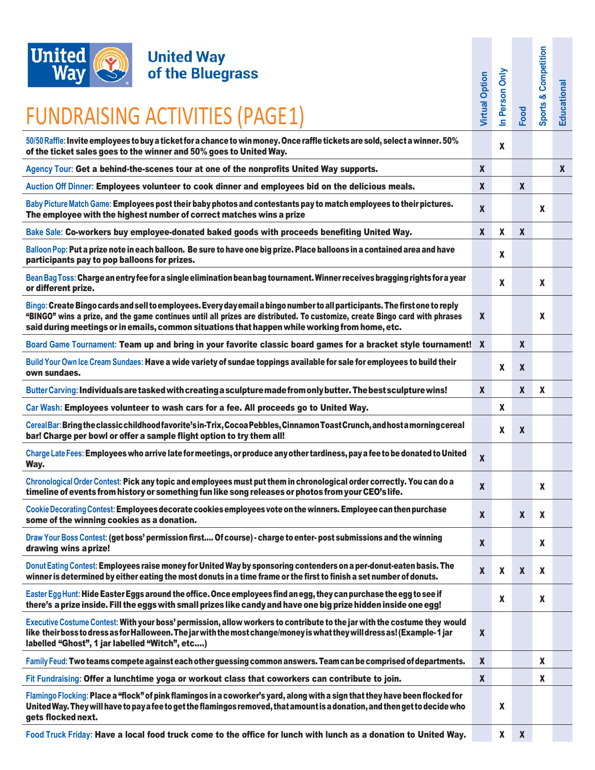

| <b>United</b><br><b>United Way</b><br>of the Bluegrass<br>Wav<br><b>FUNDRAISING ACTIVITIES (PAGE1)</b>                                                                                                                                                                                                                                                       | <b>Virtual Option</b> | n Person Only | Food               | Competition<br>Sports & | Educational |
|--------------------------------------------------------------------------------------------------------------------------------------------------------------------------------------------------------------------------------------------------------------------------------------------------------------------------------------------------------------|-----------------------|---------------|--------------------|-------------------------|-------------|
| 50/50 Raffle: Invite employees to buy a ticket for a chance to win money. Once raffle tickets are sold, select a winner. 50%<br>of the ticket sales goes to the winner and 50% goes to United Way.                                                                                                                                                           |                       | X             |                    |                         |             |
| Agency Tour: Get a behind-the-scenes tour at one of the nonprofits United Way supports.                                                                                                                                                                                                                                                                      | $\boldsymbol{x}$      |               |                    |                         | X           |
| Auction Off Dinner: Employees volunteer to cook dinner and employees bid on the delicious meals.                                                                                                                                                                                                                                                             | $\boldsymbol{X}$      |               | $\pmb{\mathsf{X}}$ |                         |             |
| Baby Picture Match Game: Employees post their baby photos and contestants pay to match employees to their pictures.<br>The employee with the highest number of correct matches wins a prize                                                                                                                                                                  | $\boldsymbol{x}$      |               |                    | X                       |             |
| Bake Sale: Co-workers buy employee-donated baked goods with proceeds benefiting United Way.                                                                                                                                                                                                                                                                  | $\boldsymbol{x}$      | X             | $\boldsymbol{x}$   |                         |             |
| Balloon Pop: Put a prize note in each balloon. Be sure to have one big prize. Place balloons in a contained area and have<br>participants pay to pop balloons for prizes.                                                                                                                                                                                    |                       | X             |                    |                         |             |
| Bean Bag Toss: Charge an entry fee for a single elimination bean bag tournament. Winner receives bragging rights for a year<br>or different prize.                                                                                                                                                                                                           |                       | X             |                    | X                       |             |
| Bingo: Create Bingo cards and sell to employees. Every day email a bingo number to all participants. The first one to reply<br>"BINGO" wins a prize, and the game continues until all prizes are distributed. To customize, create Bingo card with phrases<br>said during meetings or in emails, common situations that happen while working from home, etc. | $\boldsymbol{x}$      |               |                    | X                       |             |
| Board Game Tournament: Team up and bring in your favorite classic board games for a bracket style tournament! X                                                                                                                                                                                                                                              |                       |               | $\mathbf{x}$       |                         |             |
| Build Your Own Ice Cream Sundaes: Have a wide variety of sundae toppings available for sale for employees to build their<br>own sundaes.                                                                                                                                                                                                                     |                       | X             | $\boldsymbol{X}$   |                         |             |
| Butter Carving: Individuals are tasked with creating a sculpture made from only butter. The best sculpture wins!                                                                                                                                                                                                                                             | $\boldsymbol{X}$      |               | X                  | X                       |             |
| Car Wash: Employees volunteer to wash cars for a fee. All proceeds go to United Way.                                                                                                                                                                                                                                                                         |                       | X             |                    |                         |             |
| Cereal Bar: Bring the classic childhood favorite's in-Trix, Cocoa Pebbles, Cinnamon Toast Crunch, and host a morning cereal<br>bar! Charge per bowl or offer a sample flight option to try them all!                                                                                                                                                         |                       | X             | $\boldsymbol{x}$   |                         |             |
| Charge Late Fees: Employees who arrive late for meetings, or produce any other tardiness, pay a fee to be donated to United<br>Way.                                                                                                                                                                                                                          | X                     |               |                    |                         |             |
| Chronological Order Contest: Pick any topic and employees must put them in chronological order correctly. You can do a<br>timeline of events from history or something fun like song releases or photos from your CEO's life.                                                                                                                                | $\boldsymbol{x}$      |               |                    | X                       |             |
| Cookie Decorating Contest: Employees decorate cookies employees vote on the winners. Employee can then purchase<br>some of the winning cookies as a donation.                                                                                                                                                                                                | $\pmb{\mathsf{X}}$    |               | $\boldsymbol{x}$   | X                       |             |
| Draw Your Boss Contest: (get boss' permission first Of course) - charge to enter-post submissions and the winning<br>drawing wins aprize!                                                                                                                                                                                                                    | $\boldsymbol{x}$      |               |                    | X                       |             |
| Donut Eating Contest: Employees raise money for United Way by sponsoring contenders on a per-donut-eaten basis. The<br>winner is determined by either eating the most donuts in a time frame or the first to finish a set number of donuts.                                                                                                                  | $\pmb{\mathsf{X}}$    | X             | $\boldsymbol{X}$   | X                       |             |
| Easter Egg Hunt: Hide Easter Eggs around the office. Once employees find an egg, they can purchase the egg to see if<br>there's a prize inside. Fill the eggs with small prizes like candy and have one big prize hidden inside one egg!                                                                                                                     |                       | X             |                    | X                       |             |
| Executive Costume Contest: With your boss' permission, allow workers to contribute to the jar with the costume they would<br>like theirboss to dress as for Halloween. The jar with the most change/money is what they will dress as! (Example-1 jar<br>labelled "Ghost", 1 jar labelled "Witch", etc)                                                       | $\pmb{\mathsf{X}}$    |               |                    |                         |             |
| Family Feud: Two teams compete against each other guessing common answers. Team can be comprised of departments.                                                                                                                                                                                                                                             | $\boldsymbol{X}$      |               |                    | X                       |             |
| Fit Fundraising: Offer a lunchtime yoga or workout class that coworkers can contribute to join.                                                                                                                                                                                                                                                              | $\pmb{\mathsf{X}}$    |               |                    | X                       |             |
| Flamingo Flocking: Place a "flock" of pink flamingos in a coworker's yard, along with a sign that they have been flocked for<br>United Way. They will have to pay a fee to get the flamingos removed, that amount is a donation, and then get to decide who<br>gets flocked next.                                                                            |                       | X             |                    |                         |             |
|                                                                                                                                                                                                                                                                                                                                                              |                       |               |                    |                         |             |

**Food Truck Friday: Have a local food truck come to the office for lunch with lunch as a donation to United Way. X X X**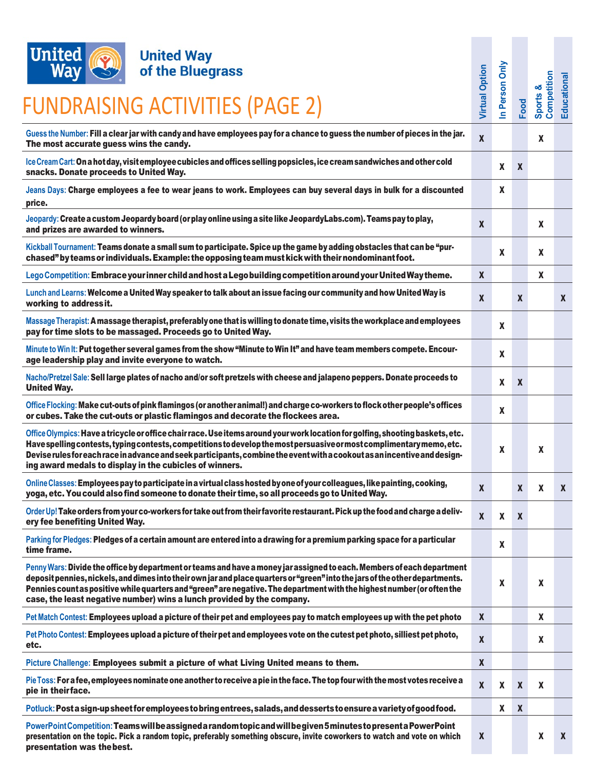

## **United Way<br>of the Bluegrass**

## FUNDRAISING ACTIVITIES (PAGE 2)

| onnca<br><b>UIIIted Way</b>                                                                                                                                                                                                                                                                                                                                                                                                                                 |                       |                           |                  |                            |              |
|-------------------------------------------------------------------------------------------------------------------------------------------------------------------------------------------------------------------------------------------------------------------------------------------------------------------------------------------------------------------------------------------------------------------------------------------------------------|-----------------------|---------------------------|------------------|----------------------------|--------------|
| <b>Way</b><br>of the Bluegrass                                                                                                                                                                                                                                                                                                                                                                                                                              |                       |                           |                  |                            |              |
| FUNDRAISING ACTIVITIES (PAGE 2)                                                                                                                                                                                                                                                                                                                                                                                                                             | <b>Virtual Option</b> | In Person Only            | Food             | Competition<br>త<br>Sports | Educational  |
| Guess the Number: Fill a clear jar with candy and have employees pay for a chance to guess the number of pieces in the jar.<br>The most accurate guess wins the candy.                                                                                                                                                                                                                                                                                      | $\pmb{\chi}$          |                           |                  | X                          |              |
| Ice Cream Cart: On a hot day, visit employee cubicles and offices selling popsicles, ice cream sandwiches and other cold<br>snacks. Donate proceeds to United Way.                                                                                                                                                                                                                                                                                          |                       | X                         | $\boldsymbol{X}$ |                            |              |
| Jeans Days: Charge employees a fee to wear jeans to work. Employees can buy several days in bulk for a discounted<br>price.                                                                                                                                                                                                                                                                                                                                 |                       | X                         |                  |                            |              |
| Jeopardy: Create a custom Jeopardy board (or play online using a site like JeopardyLabs.com). Teams pay to play,<br>and prizes are awarded to winners.                                                                                                                                                                                                                                                                                                      | $\boldsymbol{x}$      |                           |                  | X                          |              |
| Kickball Tournament: Teams donate a small sum to participate. Spice up the game by adding obstacles that can be "pur-<br>chased" by teams or individuals. Example: the opposing team must kick with their nondominant foot.                                                                                                                                                                                                                                 |                       | X                         |                  | X                          |              |
| Lego Competition: Embrace your inner child and host a Lego building competition around your United Way theme.                                                                                                                                                                                                                                                                                                                                               | $\mathbf{x}$          |                           |                  | X                          |              |
| Lunch and Learns: Welcome a United Way speaker to talk about an issue facing our community and how United Way is<br>working to addressit.                                                                                                                                                                                                                                                                                                                   | $\boldsymbol{X}$      |                           | X                |                            | $\mathbf{x}$ |
| Massage Therapist: A massage therapist, preferably one that is willing to donate time, visits the workplace and employees<br>pay for time slots to be massaged. Proceeds go to United Way.                                                                                                                                                                                                                                                                  |                       | X                         |                  |                            |              |
| Minute to Win It: Put together several games from the show "Minute to Win It" and have team members compete. Encour-<br>age leadership play and invite everyone to watch.                                                                                                                                                                                                                                                                                   |                       | X                         |                  |                            |              |
| Nacho/Pretzel Sale: Sell large plates of nacho and/or soft pretzels with cheese and jalapeno peppers. Donate proceeds to<br><b>United Way.</b>                                                                                                                                                                                                                                                                                                              |                       | X                         | $\boldsymbol{X}$ |                            |              |
| Office Flocking: Make cut-outs of pink flamingos (or another animal!) and charge co-workers to flock other people's offices<br>or cubes. Take the cut-outs or plastic flamingos and decorate the flockees area.                                                                                                                                                                                                                                             |                       | $\mathbf{x}$              |                  |                            |              |
| Office Olympics: Have a tricycle or office chair race. Use items around your work location for golfing, shooting baskets, etc.<br>Have spelling contests, typing contests, competitions to develop the most persuasive or most complimentary memo, etc.<br>Devise rules for each race in advance and seek participants, combine the event with a cookout as an incentive and design-<br>ing award medals to display in the cubicles of winners.             |                       | X                         |                  | X                          |              |
| Online Classes: Employees pay to participate in a virtual class hosted by one of your colleagues, like painting, cooking,<br>yoga, etc. You could also find someone to donate their time, so all proceeds go to United Way.                                                                                                                                                                                                                                 | $\boldsymbol{x}$      |                           | X                | X                          | X            |
| Order Up! Take orders from your co-workers for take out from their favorite restaurant. Pick up the food and charge a deliv-<br>ery fee benefiting United Way.                                                                                                                                                                                                                                                                                              | $\boldsymbol{x}$      | X                         | $\mathbf{x}$     |                            |              |
| Parking for Pledges: Pledges of a certain amount are entered into a drawing for a premium parking space for a particular<br>time frame.                                                                                                                                                                                                                                                                                                                     |                       | X                         |                  |                            |              |
| Penny Wars: Divide the office by department or teams and have a money jar assigned to each. Members of each department<br>deposit pennies, nickels, and dimes into their own jar and place quarters or "green" into the jars of the other departments.<br>Pennies count as positive while quarters and "green" are negative. The department with the highest number (or often the<br>case, the least negative number) wins a lunch provided by the company. |                       | $\boldsymbol{\mathsf{X}}$ |                  | X                          |              |
| Pet Match Contest: Employees upload a picture of their pet and employees pay to match employees up with the pet photo                                                                                                                                                                                                                                                                                                                                       | $\boldsymbol{x}$      |                           |                  | X                          |              |
| Pet Photo Contest: Employees upload a picture of their pet and employees vote on the cutest pet photo, silliest pet photo,<br>etc.                                                                                                                                                                                                                                                                                                                          | $\boldsymbol{x}$      |                           |                  | X                          |              |
| Picture Challenge: Employees submit a picture of what Living United means to them.                                                                                                                                                                                                                                                                                                                                                                          | $\pmb{\mathsf{X}}$    |                           |                  |                            |              |
| Pie Toss: For a fee, employees nominate one another to receive a pie in the face. The top four with the most votes receive a<br>pie in theirface.                                                                                                                                                                                                                                                                                                           | $\pmb{\mathsf{X}}$    | X                         | $\boldsymbol{X}$ | X                          |              |
| Potluck: Post a sign-up sheet for employees to bring entrees, salads, and desserts to ensure a variety of good food.                                                                                                                                                                                                                                                                                                                                        |                       | X                         | $\boldsymbol{X}$ |                            |              |
| PowerPointCompetition: Teamswill be assigned a random topic and will be given 5 minutes to present a PowerPoint<br>presentation on the topic. Pick a random topic, preferably something obscure, invite coworkers to watch and vote on which<br>presentation was the best.                                                                                                                                                                                  | X                     |                           |                  | X                          | $\mathbf{x}$ |